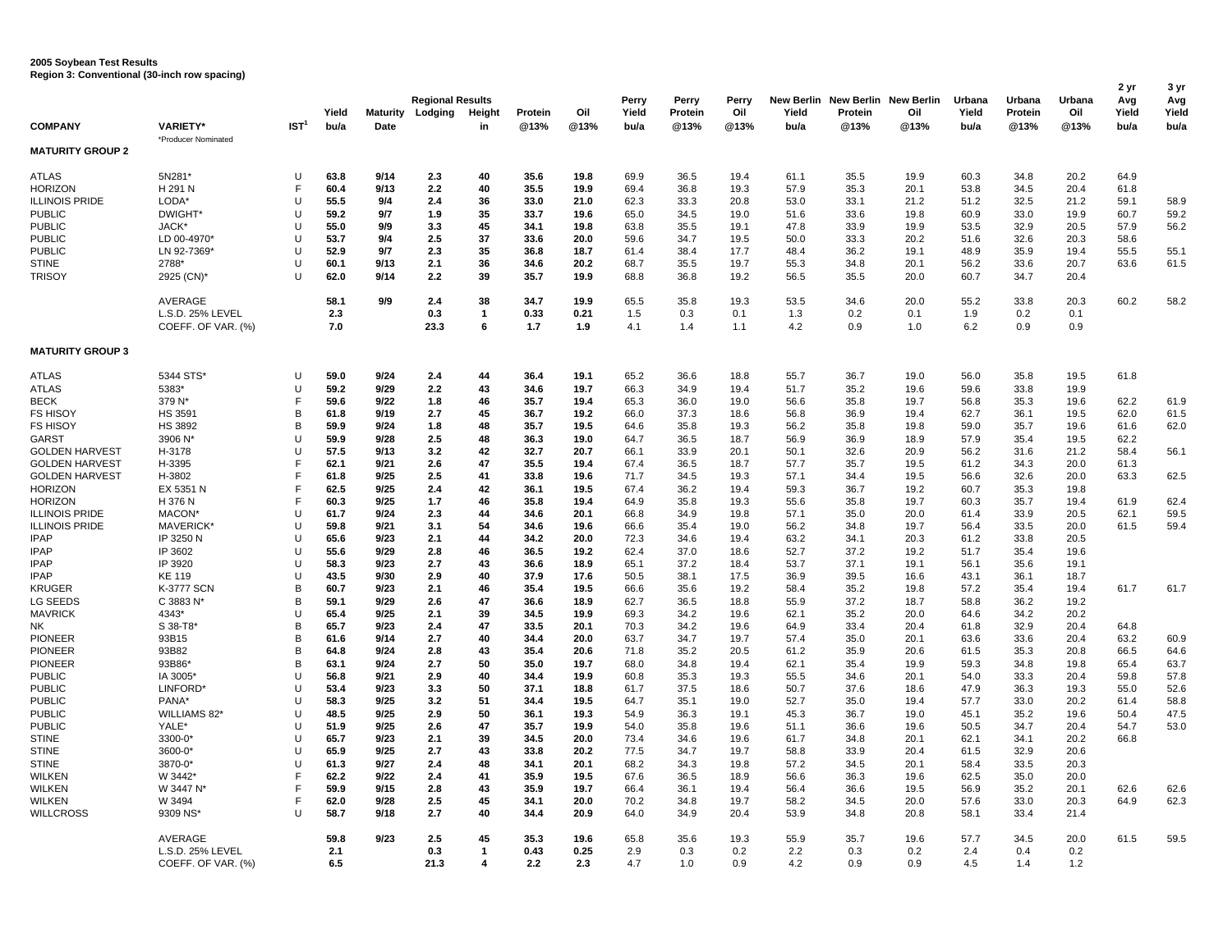## **2005 Soybean Test Results Region 3: Conventional (30-inch row spacing)**

|                                  |                                        |                  |              |                 | <b>Regional Results</b> |                   |             |             | Perry        | Perry      | Perry      |              | New Berlin New Berlin New Berlin |              | Urbana     | Urbana     | Urbana     | 2 yr<br>Avg  | 3 yr<br>Avg  |
|----------------------------------|----------------------------------------|------------------|--------------|-----------------|-------------------------|-------------------|-------------|-------------|--------------|------------|------------|--------------|----------------------------------|--------------|------------|------------|------------|--------------|--------------|
|                                  |                                        |                  | Yield        | <b>Maturity</b> | Lodging                 | Height            | Protein     | Oil         | Yield        | Protein    | Oil        | Yield        | Protein                          | Oil          | Yield      | Protein    | Oil        | Yield        | Yield        |
| <b>COMPANY</b>                   | <b>VARIETY*</b>                        | IST <sup>1</sup> | bu/a         | Date            |                         | in                | @13%        | @13%        | bu/a         | @13%       | @13%       | bu/a         | @13%                             | @13%         | bu/a       | @13%       | @13%       | bu/a         | bu/a         |
| <b>MATURITY GROUP 2</b>          | *Producer Nominated                    |                  |              |                 |                         |                   |             |             |              |            |            |              |                                  |              |            |            |            |              |              |
|                                  |                                        |                  |              |                 |                         |                   |             |             |              |            |            |              |                                  |              |            |            |            |              |              |
| <b>ATLAS</b>                     | 5N281*                                 | U                | 63.8         | 9/14            | 2.3                     | 40                | 35.6        | 19.8        | 69.9         | 36.5       | 19.4       | 61.1         | 35.5                             | 19.9         | 60.3       | 34.8       | 20.2       | 64.9         |              |
| <b>HORIZON</b>                   | H 291 N                                | F                | 60.4         | 9/13            | 2.2                     | 40                | 35.5        | 19.9        | 69.4         | 36.8       | 19.3       | 57.9         | 35.3                             | 20.1         | 53.8       | 34.5       | 20.4       | 61.8         |              |
| <b>ILLINOIS PRIDE</b>            | LODA*                                  | $\cup$           | 55.5         | 9/4             | 2.4                     | 36                | 33.0        | 21.0        | 62.3         | 33.3       | 20.8       | 53.0         | 33.1                             | 21.2         | 51.2       | 32.5       | 21.2       | 59.1         | 58.9         |
| <b>PUBLIC</b>                    | <b>DWIGHT</b>                          | U                | 59.2         | 9/7             | 1.9                     | 35                | 33.7        | 19.6        | 65.0         | 34.5       | 19.0       | 51.6         | 33.6                             | 19.8         | 60.9       | 33.0       | 19.9       | 60.7         | 59.2         |
| <b>PUBLIC</b>                    | JACK*                                  | U                | 55.0         | 9/9             | 3.3                     | 45                | 34.1        | 19.8        | 63.8         | 35.5       | 19.1       | 47.8         | 33.9                             | 19.9         | 53.5       | 32.9       | 20.5       | 57.9         | 56.2         |
| <b>PUBLIC</b>                    | LD 00-4970*                            | $\cup$           | 53.7         | 9/4             | 2.5                     | 37                | 33.6        | 20.0        | 59.6         | 34.7       | 19.5       | 50.0         | 33.3                             | 20.2         | 51.6       | 32.6       | 20.3       | 58.6         |              |
| <b>PUBLIC</b>                    | LN 92-7369*                            | $\cup$           | 52.9         | 9/7             | 2.3                     | 35                | 36.8        | 18.7        | 61.4         | 38.4       | 17.7       | 48.4         | 36.2                             | 19.1         | 48.9       | 35.9       | 19.4       | 55.5         | 55.1         |
| <b>STINE</b>                     | 2788*                                  | U                | 60.1         | 9/13            | 2.1                     | 36                | 34.6        | 20.2        | 68.7         | 35.5       | 19.7       | 55.3         | 34.8                             | 20.1         | 56.2       | 33.6       | 20.7       | 63.6         | 61.5         |
| TRISOY                           | 2925 (CN)*                             | U                | 62.0         | 9/14            | 2.2                     | 39                | 35.7        | 19.9        | 68.8         | 36.8       | 19.2       | 56.5         | 35.5                             | 20.0         | 60.7       | 34.7       | 20.4       |              |              |
|                                  | AVERAGE                                |                  | 58.1         | 9/9             | 2.4                     | 38                | 34.7        | 19.9        | 65.5         | 35.8       | 19.3       | 53.5         | 34.6                             | 20.0         | 55.2       | 33.8       | 20.3       | 60.2         | 58.2         |
|                                  | L.S.D. 25% LEVEL<br>COEFF. OF VAR. (%) |                  | 2.3<br>7.0   |                 | 0.3<br>23.3             | $\mathbf{1}$<br>6 | 0.33<br>1.7 | 0.21<br>1.9 | 1.5<br>4.1   | 0.3<br>1.4 | 0.1<br>1.1 | 1.3<br>4.2   | 0.2<br>0.9                       | 0.1<br>1.0   | 1.9<br>6.2 | 0.2<br>0.9 | 0.1<br>0.9 |              |              |
| <b>MATURITY GROUP 3</b>          |                                        |                  |              |                 |                         |                   |             |             |              |            |            |              |                                  |              |            |            |            |              |              |
| ATLAS                            | 5344 STS*                              | U                | 59.0         | 9/24            | 2.4                     | 44                | 36.4        | 19.1        | 65.2         | 36.6       | 18.8       | 55.7         | 36.7                             | 19.0         | 56.0       | 35.8       | 19.5       | 61.8         |              |
| ATLAS                            | 5383*                                  | U                | 59.2         | 9/29            | 2.2                     | 43                | 34.6        | 19.7        | 66.3         | 34.9       | 19.4       | 51.7         | 35.2                             | 19.6         | 59.6       | 33.8       | 19.9       |              |              |
| <b>BECK</b>                      | 379 N*                                 | F                | 59.6         | 9/22            | 1.8                     | 46                | 35.7        | 19.4        | 65.3         | 36.0       | 19.0       | 56.6         | 35.8                             | 19.7         | 56.8       | 35.3       | 19.6       | 62.2         | 61.9         |
| <b>FS HISOY</b>                  | <b>HS 3591</b>                         | B                | 61.8         | 9/19            | 2.7                     | 45                | 36.7        | 19.2        | 66.0         | 37.3       | 18.6       | 56.8         | 36.9                             | 19.4         | 62.7       | 36.1       | 19.5       | 62.0         | 61.5         |
| FS HISOY                         | <b>HS 3892</b>                         | В                | 59.9         | 9/24            | 1.8                     | 48                | 35.7        | 19.5        | 64.6         | 35.8       | 19.3       | 56.2         | 35.8                             | 19.8         | 59.0       | 35.7       | 19.6       | 61.6         | 62.0         |
| <b>GARST</b>                     | 3906 N*                                | U                | 59.9         | 9/28            | 2.5                     | 48                | 36.3        | 19.0        | 64.7         | 36.5       | 18.7       | 56.9         | 36.9                             | 18.9         | 57.9       | 35.4       | 19.5       | 62.2         |              |
| <b>GOLDEN HARVEST</b>            | H-3178                                 | $\cup$           | 57.5         | 9/13            | 3.2                     | 42                | 32.7        | 20.7        | 66.1         | 33.9       | 20.1       | 50.1         | 32.6                             | 20.9         | 56.2       | 31.6       | 21.2       | 58.4         | 56.1         |
| <b>GOLDEN HARVEST</b>            | H-3395                                 | E                | 62.1         | 9/21            | 2.6                     | 47                | 35.5        | 19.4        | 67.4         | 36.5       | 18.7       | 57.7         | 35.7                             | 19.5         | 61.2       | 34.3       | 20.0       | 61.3         |              |
| <b>GOLDEN HARVEST</b>            | H-3802                                 | F                | 61.8         | 9/25            | 2.5                     | 41                | 33.8        | 19.6        | 71.7         | 34.5       | 19.3       | 57.1         | 34.4                             | 19.5         | 56.6       | 32.6       | 20.0       | 63.3         | 62.5         |
| <b>HORIZON</b>                   | EX 5351 N                              | F                | 62.5         | 9/25            | 2.4                     | 42                | 36.1        | 19.5        | 67.4         | 36.2       | 19.4       | 59.3         | 36.7                             | 19.2         | 60.7       | 35.3       | 19.8       |              |              |
| <b>HORIZON</b>                   | H 376 N                                | F                | 60.3         | 9/25            | 1.7                     | 46                | 35.8        | 19.4        | 64.9         | 35.8       | 19.3       | 55.6         | 35.8                             | 19.7         | 60.3       | 35.7       | 19.4       | 61.9         | 62.4         |
| <b>ILLINOIS PRIDE</b>            | MACON'                                 | $\mathbf{I}$     | 61.7         | 9/24            | 2.3                     | 44                | 34.6        | 20.1        | 66.8         | 34.9       | 19.8       | 57.1         | 35.0                             | 20.0         | 61.4       | 33.9       | 20.5       | 62.1         | 59.5         |
| <b>ILLINOIS PRIDE</b>            | <b>MAVERICK</b>                        | $\cup$           | 59.8         | 9/21            | 3.1                     | 54                | 34.6        | 19.6        | 66.6         | 35.4       | 19.0       | 56.2         | 34.8                             | 19.7         | 56.4       | 33.5       | 20.0       | 61.5         | 59.4         |
| <b>IPAP</b>                      | IP 3250 N                              | $\cup$           | 65.6         | 9/23            | 2.1                     | 44                | 34.2        | 20.0        | 72.3         | 34.6       | 19.4       | 63.2         | 34.1                             | 20.3         | 61.2       | 33.8       | 20.5       |              |              |
| <b>IPAP</b>                      | IP 3602                                | $\mathbf{I}$     | 55.6         | 9/29            | 2.8                     | 46                | 36.5        | 19.2        | 62.4         | 37.0       | 18.6       | 52.7         | 37.2                             | 19.2         | 51.7       | 35.4       | 19.6       |              |              |
| <b>IPAP</b>                      | IP 3920                                | U                | 58.3         | 9/23            | 2.7                     | 43                | 36.6        | 18.9        | 65.1         | 37.2       | 18.4       | 53.7         | 37.1                             | 19.1         | 56.1       | 35.6       | 19.1       |              |              |
| <b>IPAP</b>                      | KE 119                                 | $\cup$           | 43.5         | 9/30            | 2.9                     | 40                | 37.9        | 17.6        | 50.5         | 38.1       | 17.5       | 36.9         | 39.5                             | 16.6         | 43.1       | 36.1       | 18.7       |              |              |
| KRUGER                           | K-3777 SCN                             | B                | 60.7         | 9/23            | 2.1                     | 46                | 35.4        | 19.5        | 66.6         | 35.6       | 19.2       | 58.4         | 35.2                             | 19.8         | 57.2       | 35.4       | 19.4       | 61.7         | 61.7         |
|                                  | C 3883 N*                              | B                | 59.1         | 9/29            |                         | 47                | 36.6        | 18.9        | 62.7         | 36.5       | 18.8       |              | 37.2                             | 18.7         | 58.8       | 36.2       | 19.2       |              |              |
| LG SEEDS<br><b>MAVRICK</b>       | 4343*                                  | $\cup$           | 65.4         | 9/25            | 2.6<br>2.1              | 39                | 34.5        | 19.9        | 69.3         | 34.2       | 19.6       | 55.9<br>62.1 | 35.2                             | 20.0         | 64.6       | 34.2       | 20.2       |              |              |
|                                  |                                        | B                |              | 9/23            |                         | 47                | 33.5        | 20.1        | 70.3         |            |            |              | 33.4                             |              |            | 32.9       |            |              |              |
| NΚ                               | S 38-T8<br>93B15                       |                  | 65.7<br>61.6 | 9/14            | 2.4<br>2.7              | 40                |             | 20.0        |              | 34.2       | 19.6       | 64.9         |                                  | 20.4         | 61.8       |            | 20.4       | 64.8<br>63.2 | 60.9         |
| <b>PIONEER</b><br><b>PIONEER</b> | 93B82                                  | В<br>B           | 64.8         | 9/24            | 2.8                     | 43                | 34.4        | 20.6        | 63.7<br>71.8 | 34.7       | 19.7       | 57.4         | 35.0<br>35.9                     | 20.1<br>20.6 | 63.6       | 33.6       | 20.4       |              | 64.6         |
|                                  | 93B86*                                 | B                |              |                 |                         | 50                | 35.4        |             |              | 35.2       | 20.5       | 61.2         |                                  |              | 61.5       | 35.3       | 20.8       | 66.5         | 63.7         |
| <b>PIONEER</b>                   |                                        | U                | 63.1         | 9/24            | 2.7                     | 40                | 35.0        | 19.7        | 68.0         | 34.8       | 19.4       | 62.1         | 35.4                             | 19.9         | 59.3       | 34.8       | 19.8       | 65.4         | 57.8         |
| <b>PUBLIC</b>                    | IA 3005*                               | U                | 56.8         | 9/21            | 2.9                     |                   | 34.4        | 19.9        | 60.8         | 35.3       | 19.3       | 55.5         | 34.6                             | 20.1         | 54.0       | 33.3       | 20.4       | 59.8         |              |
| <b>PUBLIC</b>                    | LINFORD'                               | U                | 53.4         | 9/23            | 3.3                     | 50<br>51          | 37.1        | 18.8        | 61.7         | 37.5       | 18.6       | 50.7         | 37.6                             | 18.6         | 47.9       | 36.3       | 19.3       | 55.0         | 52.6         |
| <b>PUBLIC</b>                    | PANA*                                  |                  | 58.3         | 9/25            | 3.2                     | 50                | 34.4        | 19.5        | 64.7         | 35.1       | 19.0       | 52.7         | 35.0                             | 19.4         | 57.7       | 33.0       | 20.2       | 61.4         | 58.8<br>47.5 |
| <b>PUBLIC</b>                    | WILLIAMS 82*                           | U<br>U           | 48.5         | 9/25            | 2.9                     |                   | 36.1        | 19.3        | 54.9         | 36.3       | 19.1       | 45.3         | 36.7                             | 19.0         | 45.1       | 35.2       | 19.6       | 50.4         |              |
| <b>PUBLIC</b>                    | YALE*                                  |                  | 51.9         | 9/25            | 2.6                     | 47                | 35.7        | 19.9        | 54.0         | 35.8       | 19.6       | 51.1         | 36.6                             | 19.6         | 50.5       | 34.7       | 20.4       | 54.7         | 53.0         |
| <b>STINE</b>                     | 3300-0*                                | $\cup$           | 65.7         | 9/23            | 2.1                     | 39                | 34.5        | 20.0        | 73.4         | 34.6       | 19.6       | 61.7         | 34.8                             | 20.1         | 62.1       | 34.1       | 20.2       | 66.8         |              |
| <b>STINE</b>                     | 3600-0*                                | U                | 65.9         | 9/25            | 2.7                     | 43                | 33.8        | 20.2        | 77.5         | 34.7       | 19.7       | 58.8         | 33.9                             | 20.4         | 61.5       | 32.9       | 20.6       |              |              |
| <b>STINE</b>                     | 3870-0*                                | U                | 61.3         | 9/27            | 2.4                     | 48                | 34.1        | 20.1        | 68.2         | 34.3       | 19.8       | 57.2         | 34.5                             | 20.1         | 58.4       | 33.5       | 20.3       |              |              |
| WILKEN                           | W 3442*                                | F                | 62.2         | 9/22            | 2.4                     | 41                | 35.9        | 19.5        | 67.6         | 36.5       | 18.9       | 56.6         | 36.3                             | 19.6         | 62.5       | 35.0       | 20.0       |              |              |
| WILKEN                           | W 3447 N                               | F                | 59.9         | 9/15            | 2.8                     | 43                | 35.9        | 19.7        | 66.4         | 36.1       | 19.4       | 56.4         | 36.6                             | 19.5         | 56.9       | 35.2       | 20.1       | 62.6         | 62.6         |
| WILKEN                           | W 3494                                 |                  | 62.0         | 9/28            | 2.5                     | 45                | 34.1        | 20.0        | 70.2         | 34.8       | 19.7       | 58.2         | 34.5                             | 20.0         | 57.6       | 33.0       | 20.3       | 64.9         | 62.3         |
| <b>WILLCROSS</b>                 | 9309 NS*                               | $\cup$           | 58.7         | 9/18            | 2.7                     | 40                | 34.4        | 20.9        | 64.0         | 34.9       | 20.4       | 53.9         | 34.8                             | 20.8         | 58.1       | 33.4       | 21.4       |              |              |
|                                  | AVERAGE                                |                  | 59.8         | 9/23            | 2.5                     | 45                | 35.3        | 19.6        | 65.8         | 35.6       | 19.3       | 55.9         | 35.7                             | 19.6         | 57.7       | 34.5       | 20.0       | 61.5         | 59.5         |
|                                  | L.S.D. 25% LEVEL                       |                  | 2.1          |                 | 0.3                     | 1                 | 0.43        | 0.25        | 2.9          | 0.3        | 0.2        | 2.2          | 0.3                              | 0.2          | 2.4        | 0.4        | 0.2        |              |              |
|                                  | COEFF. OF VAR. (%)                     |                  | 6.5          |                 | 21.3                    | 4                 | 2.2         | 2.3         | 4.7          | 1.0        | 0.9        | 4.2          | 0.9                              | 0.9          | 4.5        | 1.4        | 1.2        |              |              |